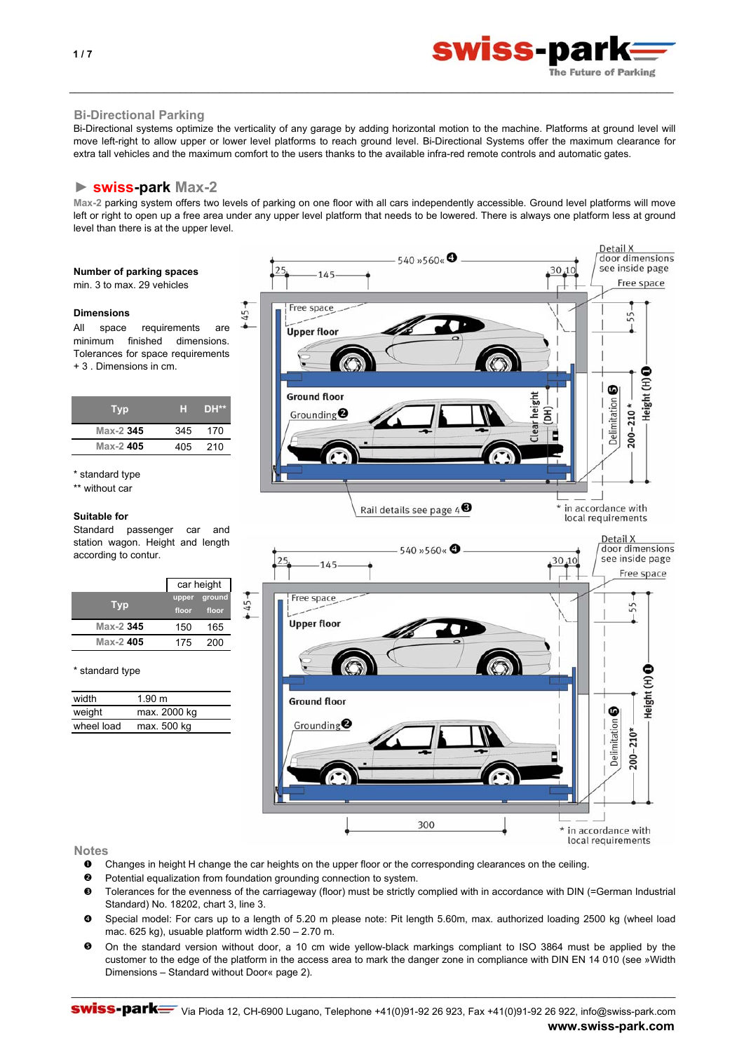

Detail X

# **Bi-Directional Parking**

Bi-Directional systems optimize the verticality of any garage by adding horizontal motion to the machine. Platforms at ground level will move left-right to allow upper or lower level platforms to reach ground level. Bi-Directional Systems offer the maximum clearance for extra tall vehicles and the maximum comfort to the users thanks to the available infra-red remote controls and automatic gates.

\_\_\_\_\_\_\_\_\_\_\_\_\_\_\_\_\_\_\_\_\_\_\_\_\_\_\_\_\_\_\_\_\_\_\_\_\_\_\_\_\_\_\_\_\_\_\_\_\_\_\_\_\_\_\_\_\_\_\_\_\_\_\_\_\_\_\_\_\_\_\_\_\_\_\_\_\_\_\_\_\_\_\_\_\_\_\_\_\_\_\_\_\_\_\_\_\_\_\_\_\_\_\_\_\_\_\_\_\_

# **► swiss-park Max-2**

**Max-2** parking system offers two levels of parking on one floor with all cars independently accessible. Ground level platforms will move left or right to open up a free area under any upper level platform that needs to be lowered. There is always one platform less at ground level than there is at the upper level.

# **Number of parking spaces**

min. 3 to max. 29 vehicles

#### **Dimensions**

All space requirements are minimum finished dimensions. Tolerances for space requirements + 3 . Dimensions in cm.

| Typ       | ы   | <b>DH**</b> |
|-----------|-----|-------------|
| Max-2 345 | 345 | 170         |
| Max-2405  | 405 | 210         |
|           |     |             |

\* standard type

\*\* without car

#### **Suitable for**

\* standard type

width  $1.90 \text{ m}$ weight max. 2000 kg wheel load max. 500 kg

**Typ Max-2 345**

**Max-2 405**

Standard passenger car and station wagon. Height and length according to contur.

> upper groui **floor floor** 150 165 175 200

car height



**Notes**

- n Changes in height H change the car heights on the upper floor or the corresponding clearances on the ceiling.
- o Potential equalization from foundation grounding connection to system.
- $\mathbf{e}$ Tolerances for the evenness of the carriageway (floor) must be strictly complied with in accordance with DIN (=German Industrial Standard) No. 18202, chart 3, line 3.
- $\boldsymbol{c}$ Special model: For cars up to a length of 5.20 m please note: Pit length 5.60m, max. authorized loading 2500 kg (wheel load mac. 625 kg), usuable platform width 2.50 – 2.70 m.
- $\mathbf{e}$ On the standard version without door, a 10 cm wide yellow-black markings compliant to ISO 3864 must be applied by the customer to the edge of the platform in the access area to mark the danger zone in compliance with DIN EN 14 010 (see »Width Dimensions – Standard without Door« page 2).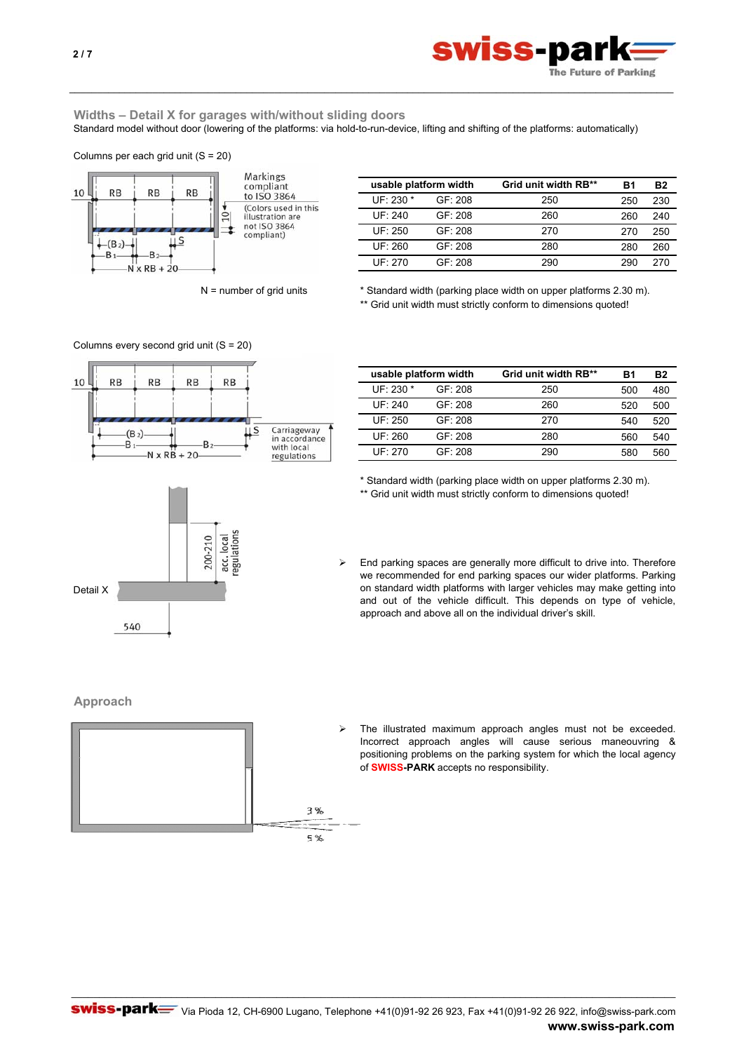

# **Widths – Detail X for garages with/without sliding doors**

Standard model without door (lowering of the platforms: via hold-to-run-device, lifting and shifting of the platforms: automatically)

\_\_\_\_\_\_\_\_\_\_\_\_\_\_\_\_\_\_\_\_\_\_\_\_\_\_\_\_\_\_\_\_\_\_\_\_\_\_\_\_\_\_\_\_\_\_\_\_\_\_\_\_\_\_\_\_\_\_\_\_\_\_\_\_\_\_\_\_\_\_\_\_\_\_\_\_\_\_\_\_\_\_\_\_\_\_\_\_\_\_\_\_\_\_\_\_\_\_\_\_\_\_\_\_\_\_\_\_\_

Columns per each grid unit (S = 20)





| usable platform width |         | Grid unit width RB** | B1  | Β2  |
|-----------------------|---------|----------------------|-----|-----|
| $UF: 230 *$           | GF: 208 | 250                  | 250 | 230 |
| UF: 240               | GF: 208 | 260                  | 260 | 240 |
| UF: 250               | GF: 208 | 270                  | 270 | 250 |
| UF.260                | GF: 208 | 280                  | 280 | 260 |
| UF 270                | GF: 208 | 290                  | 290 | 270 |

Carriageway<br>in accordance<br>with local

regulations

 $N =$  number of grid units  $A = N$  Standard width (parking place width on upper platforms 2.30 m). \*\* Grid unit width must strictly conform to dimensions quoted!

| usable platform width |             |         | Grid unit width RB** | B1  | Β2  |
|-----------------------|-------------|---------|----------------------|-----|-----|
|                       | $UF: 230 *$ | GF: 208 | 250                  | 500 | 480 |
|                       | UF: 240     | GF: 208 | 260                  | 520 | 500 |
|                       | UF: 250     | GF: 208 | 270                  | 540 | 520 |
|                       | UF: 260     | GF: 208 | 280                  | 560 | 540 |
|                       | UF 270      | GF: 208 | 290                  | 580 | 560 |

\* Standard width (parking place width on upper platforms 2.30 m). \*\* Grid unit width must strictly conform to dimensions quoted!



¾ End parking spaces are generally more difficult to drive into. Therefore we recommended for end parking spaces our wider platforms. Parking on standard width platforms with larger vehicles may make getting into and out of the vehicle difficult. This depends on type of vehicle, approach and above all on the individual driver's skill.

# **Approach**



The illustrated maximum approach angles must not be exceeded. Incorrect approach angles will cause serious maneouvring & positioning problems on the parking system for which the local agency of **SWISS-PARK** accepts no responsibility.



\_\_\_\_\_\_\_\_\_\_\_\_\_\_\_\_\_\_\_\_\_\_\_\_\_\_\_\_\_\_\_\_\_\_\_\_\_\_\_\_\_\_\_\_\_\_\_\_\_\_\_\_\_\_\_\_\_\_\_\_\_\_\_\_\_\_\_\_\_\_\_\_\_\_\_\_\_\_\_\_\_\_\_\_\_\_\_\_\_\_\_\_\_\_\_\_\_\_\_\_\_\_\_\_\_\_\_\_\_

10

**RB** 

 $-(B_2)$  $-B$ 

Columns every second grid unit (S = 20)

 $-N \times RB + 20$ 

RB

 $B$ 

**RB** 

 $\overline{u}$  s

RB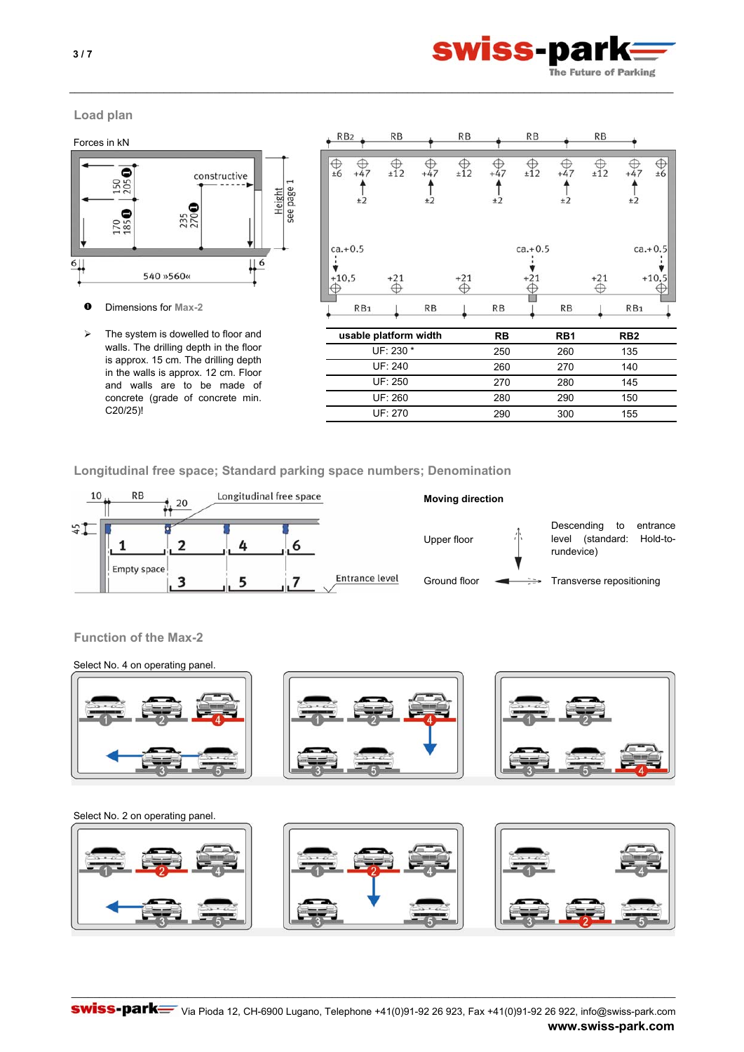

\_\_\_\_\_\_\_\_\_\_\_\_\_\_\_\_\_\_\_\_\_\_\_\_\_\_\_\_\_\_\_\_\_\_\_\_\_\_\_\_\_\_\_\_\_\_\_\_\_\_\_\_\_\_\_\_\_\_\_\_\_\_\_\_\_\_\_\_\_\_\_\_\_\_\_\_\_\_\_\_\_\_\_\_\_\_\_\_\_\_\_\_\_\_\_\_\_\_\_\_\_\_\_\_\_\_\_\_\_

# **Load plan**



 $O$  Dimensions for Max-2

| RB <sub>2</sub>      | <b>RB</b>         |             | RB    |             | <b>RB</b>          |             | <b>RB</b>  |                 |                      |
|----------------------|-------------------|-------------|-------|-------------|--------------------|-------------|------------|-----------------|----------------------|
| ±6<br>$+47$<br>±2    | ±12               | $+47$<br>±2 | ±12   | $+47$<br>±2 | ±12                | $+47$<br>±2 | ±12        | $+47$<br>±2     | ±6                   |
| $ca.+0.5$<br>$+10,5$ | $+21$<br>$\oplus$ |             | $+21$ |             | $ca.+0.5$<br>$+21$ |             | $+21$<br>₩ |                 | $ca.+0.5$<br>$+10,5$ |
| RB <sub>1</sub>      |                   | RB          |       | <b>RB</b>   |                    | RB          |            | RB <sub>1</sub> |                      |

| ⋗        | The system is dowelled to floor and<br>walls. The drilling depth in the floor<br>is approx. 15 cm. The drilling depth<br>in the walls is approx. 12 cm. Floor<br>and walls are to be made of | usable platform width | <b>RB</b> | RB <sub>1</sub> | RB <sub>2</sub> |  |
|----------|----------------------------------------------------------------------------------------------------------------------------------------------------------------------------------------------|-----------------------|-----------|-----------------|-----------------|--|
|          |                                                                                                                                                                                              | $UF: 230 *$           | 250       | 260             | 135             |  |
|          |                                                                                                                                                                                              | UF: 240               | 260       | 270             | 140             |  |
|          |                                                                                                                                                                                              | UF 250                | 270       | 280             | 145             |  |
| C20/25)! | concrete (grade of concrete min.                                                                                                                                                             | UF 260                | 280       | 290             | 150             |  |
|          |                                                                                                                                                                                              | UF 270                | 290       | 300             | 155             |  |

**Longitudinal free space; Standard parking space numbers; Denomination**



**Function of the Max-2**



# Select No. 2 on operating panel.





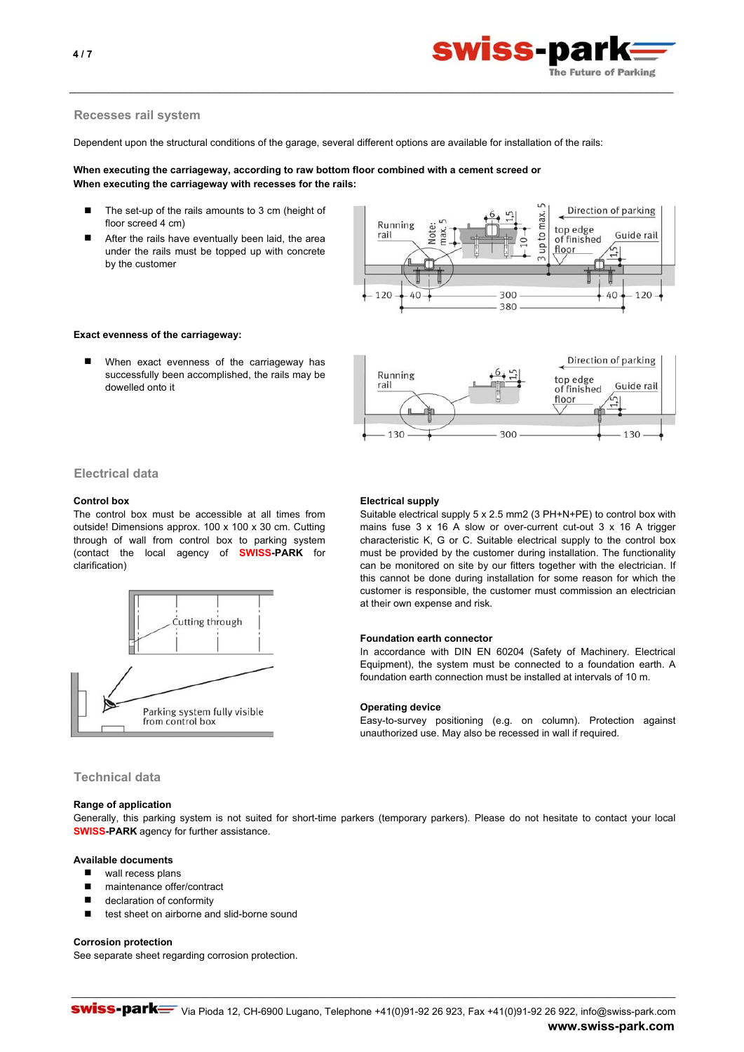

## **Recesses rail system**

Dependent upon the structural conditions of the garage, several different options are available for installation of the rails:

\_\_\_\_\_\_\_\_\_\_\_\_\_\_\_\_\_\_\_\_\_\_\_\_\_\_\_\_\_\_\_\_\_\_\_\_\_\_\_\_\_\_\_\_\_\_\_\_\_\_\_\_\_\_\_\_\_\_\_\_\_\_\_\_\_\_\_\_\_\_\_\_\_\_\_\_\_\_\_\_\_\_\_\_\_\_\_\_\_\_\_\_\_\_\_\_\_\_\_\_\_\_\_\_\_\_\_\_\_

# **When executing the carriageway, according to raw bottom floor combined with a cement screed or When executing the carriageway with recesses for the rails:**

- Ξ The set-up of the rails amounts to 3 cm (height of floor screed 4 cm)
- Ξ After the rails have eventually been laid, the area under the rails must be topped up with concrete by the customer



Direction of parking

Guide rail

130

top edge

of finished floor

# **Exact evenness of the carriageway:**

Ξ When exact evenness of the carriageway has successfully been accomplished, the rails may be dowelled onto it

# **Electrical data**

The control box must be accessible at all times from outside! Dimensions approx. 100 x 100 x 30 cm. Cutting through of wall from control box to parking system (contact the local agency of **SWISS-PARK** for clarification)



# **Control box** Electrical supply

Running

 $130$ 

rail

Suitable electrical supply 5 x 2.5 mm2 (3 PH+N+PE) to control box with mains fuse 3 x 16 A slow or over-current cut-out 3 x 16 A trigger characteristic K, G or C. Suitable electrical supply to the control box must be provided by the customer during installation. The functionality can be monitored on site by our fitters together with the electrician. If this cannot be done during installation for some reason for which the customer is responsible, the customer must commission an electrician at their own expense and risk.

300

## **Foundation earth connector**

In accordance with DIN EN 60204 (Safety of Machinery. Electrical Equipment), the system must be connected to a foundation earth. A foundation earth connection must be installed at intervals of 10 m.

#### **Operating device**

Easy-to-survey positioning (e.g. on column). Protection against unauthorized use. May also be recessed in wall if required.

# **Technical data**

#### **Range of application**

Generally, this parking system is not suited for short-time parkers (temporary parkers). Please do not hesitate to contact your local **SWISS-PARK** agency for further assistance.

\_\_\_\_\_\_\_\_\_\_\_\_\_\_\_\_\_\_\_\_\_\_\_\_\_\_\_\_\_\_\_\_\_\_\_\_\_\_\_\_\_\_\_\_\_\_\_\_\_\_\_\_\_\_\_\_\_\_\_\_\_\_\_\_\_\_\_\_\_\_\_\_\_\_\_\_\_\_\_\_\_\_\_\_\_\_\_\_\_\_\_\_\_\_\_\_\_\_\_\_\_\_\_\_\_\_\_\_\_

# **Available documents**

- wall recess plans
- maintenance offer/contract
- declaration of conformity
- test sheet on airborne and slid-borne sound

#### **Corrosion protection**

See separate sheet regarding corrosion protection.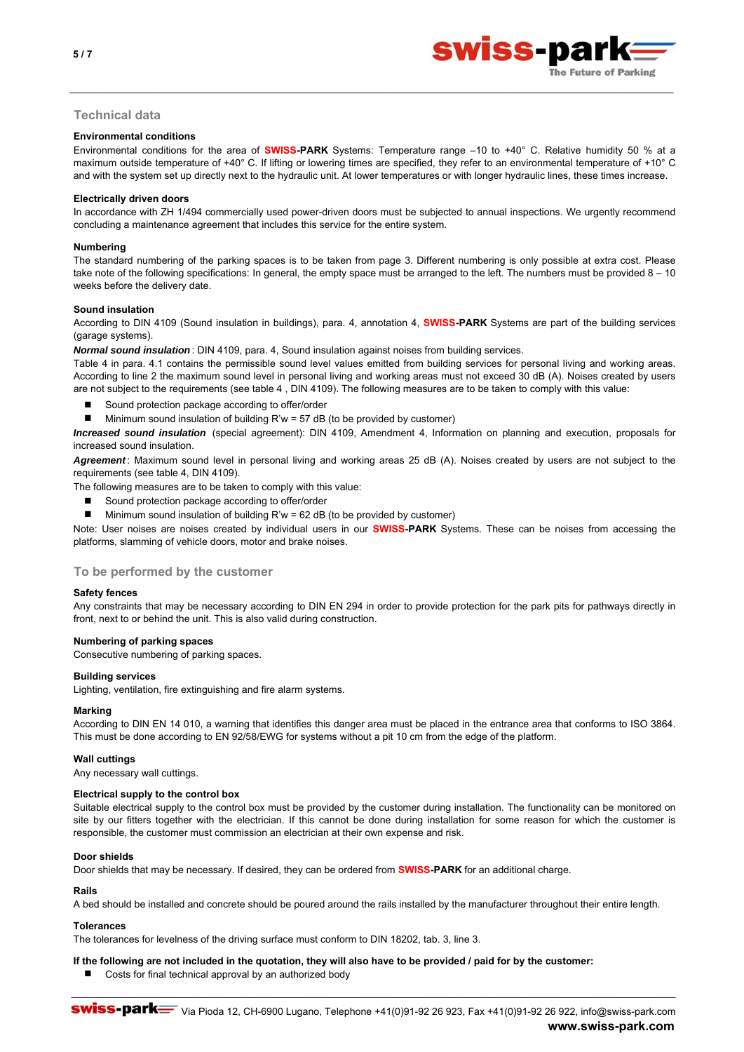



# **Technical data**

## **Environmental conditions**

Environmental conditions for the area of **SWISS-PARK** Systems: Temperature range –10 to +40° C. Relative humidity 50 % at a maximum outside temperature of +40° C. If lifting or lowering times are specified, they refer to an environmental temperature of +10° C and with the system set up directly next to the hydraulic unit. At lower temperatures or with longer hydraulic lines, these times increase.

\_\_\_\_\_\_\_\_\_\_\_\_\_\_\_\_\_\_\_\_\_\_\_\_\_\_\_\_\_\_\_\_\_\_\_\_\_\_\_\_\_\_\_\_\_\_\_\_\_\_\_\_\_\_\_\_\_\_\_\_\_\_\_\_\_\_\_\_\_\_\_\_\_\_\_\_\_\_\_\_\_\_\_\_\_\_\_\_\_\_\_\_\_\_\_\_\_\_\_\_\_\_\_\_\_\_\_\_\_

#### **Electrically driven doors**

In accordance with ZH 1/494 commercially used power-driven doors must be subjected to annual inspections. We urgently recommend concluding a maintenance agreement that includes this service for the entire system.

#### **Numbering**

The standard numbering of the parking spaces is to be taken from page 3. Different numbering is only possible at extra cost. Please take note of the following specifications: In general, the empty space must be arranged to the left. The numbers must be provided  $8 - 10$ weeks before the delivery date.

## **Sound insulation**

According to DIN 4109 (Sound insulation in buildings), para. 4, annotation 4, **SWISS-PARK** Systems are part of the building services (garage systems).

*Normal sound insulation* : DIN 4109, para. 4, Sound insulation against noises from building services.

Table 4 in para. 4.1 contains the permissible sound level values emitted from building services for personal living and working areas. According to line 2 the maximum sound level in personal living and working areas must not exceed 30 dB (A). Noises created by users are not subject to the requirements (see table 4 , DIN 4109). The following measures are to be taken to comply with this value:

- Sound protection package according to offer/order
- Minimum sound insulation of building R'w = 57 dB (to be provided by customer)

*Increased sound insulation* (special agreement): DIN 4109, Amendment 4, Information on planning and execution, proposals for increased sound insulation.

*Agreement* : Maximum sound level in personal living and working areas 25 dB (A). Noises created by users are not subject to the requirements (see table 4, DIN 4109).

The following measures are to be taken to comply with this value:

- Sound protection package according to offer/order
- $\blacksquare$  Minimum sound insulation of building R'w = 62 dB (to be provided by customer)

Note: User noises are noises created by individual users in our **SWISS-PARK** Systems. These can be noises from accessing the platforms, slamming of vehicle doors, motor and brake noises.

# **To be performed by the customer**

#### **Safety fences**

Any constraints that may be necessary according to DIN EN 294 in order to provide protection for the park pits for pathways directly in front, next to or behind the unit. This is also valid during construction.

#### **Numbering of parking spaces**

Consecutive numbering of parking spaces.

#### **Building services**

Lighting, ventilation, fire extinguishing and fire alarm systems.

#### **Marking**

According to DIN EN 14 010, a warning that identifies this danger area must be placed in the entrance area that conforms to ISO 3864. This must be done according to EN 92/58/EWG for systems without a pit 10 cm from the edge of the platform.

#### **Wall cuttings**

Any necessary wall cuttings.

#### **Electrical supply to the control box**

Suitable electrical supply to the control box must be provided by the customer during installation. The functionality can be monitored on site by our fitters together with the electrician. If this cannot be done during installation for some reason for which the customer is responsible, the customer must commission an electrician at their own expense and risk.

#### **Door shields**

Door shields that may be necessary. If desired, they can be ordered from **SWISS-PARK** for an additional charge.

#### **Rails**

A bed should be installed and concrete should be poured around the rails installed by the manufacturer throughout their entire length.

#### **Tolerances**

The tolerances for levelness of the driving surface must conform to DIN 18202, tab. 3, line 3.

- **If the following are not included in the quotation, they will also have to be provided / paid for by the customer:**
	- Costs for final technical approval by an authorized body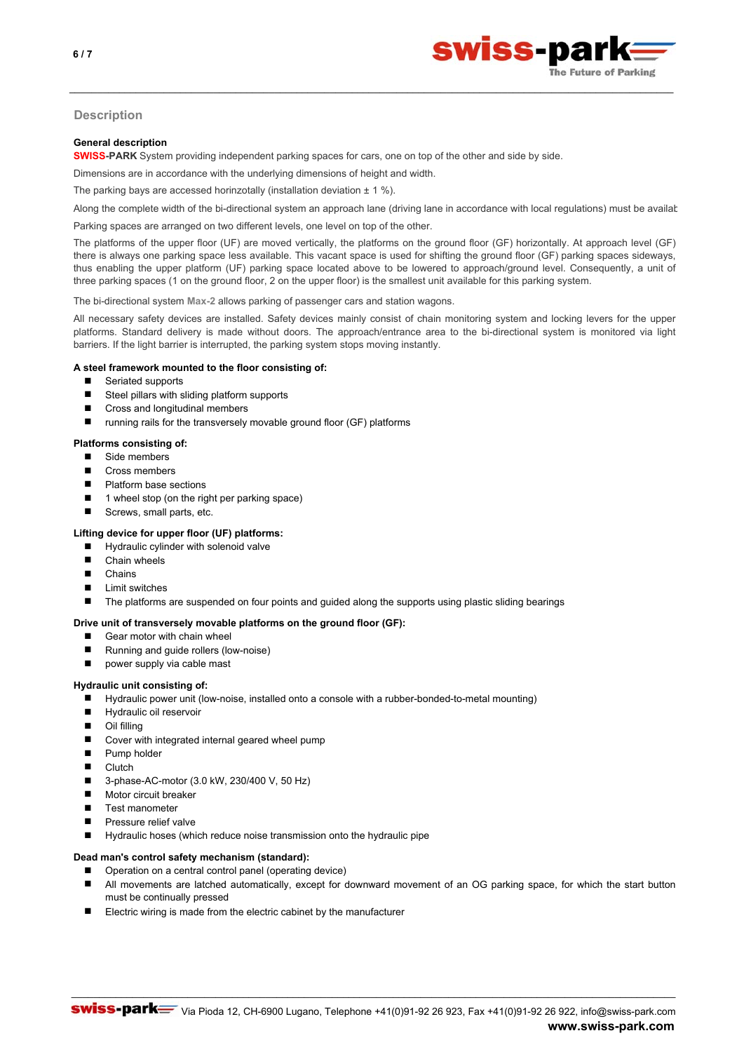

# **Description**

#### **General description**

**SWISS-PARK** System providing independent parking spaces for cars, one on top of the other and side by side.

Dimensions are in accordance with the underlying dimensions of height and width.

The parking bays are accessed horinzotally (installation deviation  $\pm$  1 %).

Along the complete width of the bi-directional system an approach lane (driving lane in accordance with local regulations) must be available

\_\_\_\_\_\_\_\_\_\_\_\_\_\_\_\_\_\_\_\_\_\_\_\_\_\_\_\_\_\_\_\_\_\_\_\_\_\_\_\_\_\_\_\_\_\_\_\_\_\_\_\_\_\_\_\_\_\_\_\_\_\_\_\_\_\_\_\_\_\_\_\_\_\_\_\_\_\_\_\_\_\_\_\_\_\_\_\_\_\_\_\_\_\_\_\_\_\_\_\_\_\_\_\_\_\_\_\_\_

Parking spaces are arranged on two different levels, one level on top of the other.

The platforms of the upper floor (UF) are moved vertically, the platforms on the ground floor (GF) horizontally. At approach level (GF) there is always one parking space less available. This vacant space is used for shifting the ground floor (GF) parking spaces sideways, thus enabling the upper platform (UF) parking space located above to be lowered to approach/ground level. Consequently, a unit of three parking spaces (1 on the ground floor, 2 on the upper floor) is the smallest unit available for this parking system.

The bi-directional system **Max-2** allows parking of passenger cars and station wagons.

All necessary safety devices are installed. Safety devices mainly consist of chain monitoring system and locking levers for the upper platforms. Standard delivery is made without doors. The approach/entrance area to the bi-directional system is monitored via light barriers. If the light barrier is interrupted, the parking system stops moving instantly.

## **A steel framework mounted to the floor consisting of:**

- Seriated supports
- Steel pillars with sliding platform supports
- Cross and longitudinal members
- running rails for the transversely movable ground floor (GF) platforms

#### **Platforms consisting of:**

- Side members
- Cross members
- Platform base sections
- $\blacksquare$  1 wheel stop (on the right per parking space)
- Screws, small parts, etc.

# **Lifting device for upper floor (UF) platforms:**

- Hydraulic cylinder with solenoid valve
- Chain wheels
- Chains
- $\blacksquare$  Limit switches
- The platforms are suspended on four points and guided along the supports using plastic sliding bearings

#### **Drive unit of transversely movable platforms on the ground floor (GF):**

- Gear motor with chain wheel
- Running and guide rollers (low-noise)
- power supply via cable mast

#### **Hydraulic unit consisting of:**

- Hydraulic power unit (low-noise, installed onto a console with a rubber-bonded-to-metal mounting)
- **Hydraulic oil reservoir**
- Oil filling
- Cover with integrated internal geared wheel pump
- **Pump holder**
- **Clutch**
- 3-phase-AC-motor (3.0 kW, 230/400 V, 50 Hz)
- **Motor circuit breaker**
- Test manometer
- Pressure relief valve
- Hydraulic hoses (which reduce noise transmission onto the hydraulic pipe

#### **Dead man's control safety mechanism (standard):**

■ Operation on a central control panel (operating device)

 $\blacksquare$ All movements are latched automatically, except for downward movement of an OG parking space, for which the start button must be continually pressed

\_\_\_\_\_\_\_\_\_\_\_\_\_\_\_\_\_\_\_\_\_\_\_\_\_\_\_\_\_\_\_\_\_\_\_\_\_\_\_\_\_\_\_\_\_\_\_\_\_\_\_\_\_\_\_\_\_\_\_\_\_\_\_\_\_\_\_\_\_\_\_\_\_\_\_\_\_\_\_\_\_\_\_\_\_\_\_\_\_\_\_\_\_\_\_\_\_\_\_\_\_\_\_\_\_\_\_\_\_

Electric wiring is made from the electric cabinet by the manufacturer